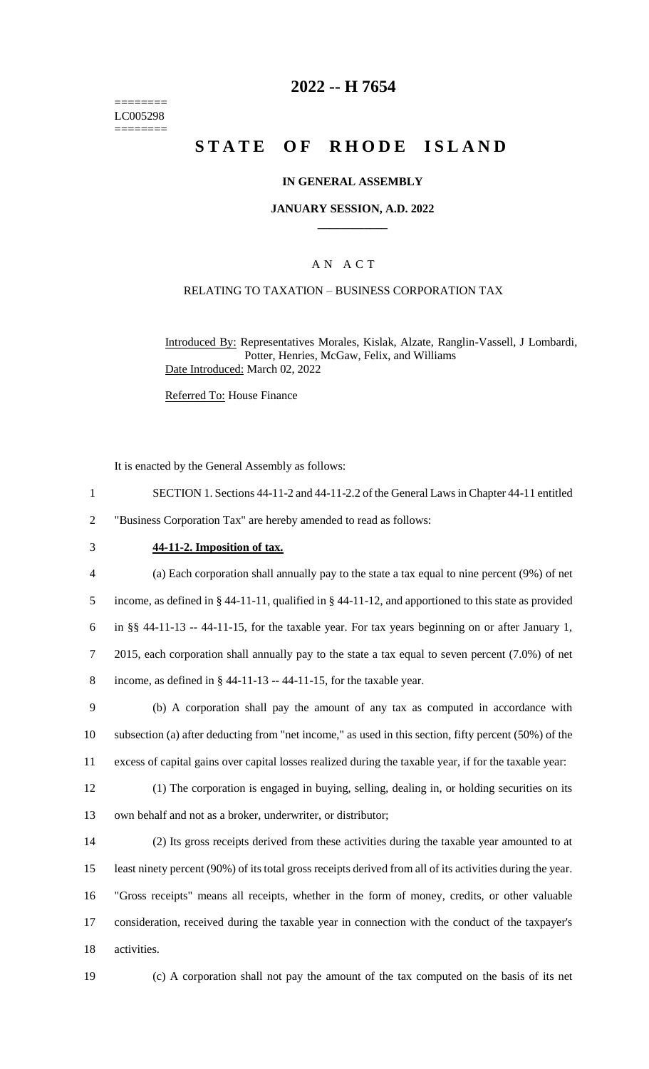======== LC005298 ========

## **2022 -- H 7654**

# **STATE OF RHODE ISLAND**

### **IN GENERAL ASSEMBLY**

#### **JANUARY SESSION, A.D. 2022 \_\_\_\_\_\_\_\_\_\_\_\_**

### A N A C T

### RELATING TO TAXATION – BUSINESS CORPORATION TAX

Introduced By: Representatives Morales, Kislak, Alzate, Ranglin-Vassell, J Lombardi, Potter, Henries, McGaw, Felix, and Williams Date Introduced: March 02, 2022

Referred To: House Finance

It is enacted by the General Assembly as follows:

- 1 SECTION 1. Sections 44-11-2 and 44-11-2.2 of the General Laws in Chapter 44-11 entitled 2 "Business Corporation Tax" are hereby amended to read as follows:
- 

#### 3 **44-11-2. Imposition of tax.**

 (a) Each corporation shall annually pay to the state a tax equal to nine percent (9%) of net income, as defined in § 44-11-11, qualified in § 44-11-12, and apportioned to this state as provided in §§ 44-11-13 -- 44-11-15, for the taxable year. For tax years beginning on or after January 1, 2015, each corporation shall annually pay to the state a tax equal to seven percent (7.0%) of net 8 income, as defined in  $\S$  44-11-13 -- 44-11-15, for the taxable year.

9 (b) A corporation shall pay the amount of any tax as computed in accordance with 10 subsection (a) after deducting from "net income," as used in this section, fifty percent (50%) of the 11 excess of capital gains over capital losses realized during the taxable year, if for the taxable year:

12 (1) The corporation is engaged in buying, selling, dealing in, or holding securities on its 13 own behalf and not as a broker, underwriter, or distributor;

 (2) Its gross receipts derived from these activities during the taxable year amounted to at least ninety percent (90%) of its total gross receipts derived from all of its activities during the year. "Gross receipts" means all receipts, whether in the form of money, credits, or other valuable consideration, received during the taxable year in connection with the conduct of the taxpayer's activities.

19 (c) A corporation shall not pay the amount of the tax computed on the basis of its net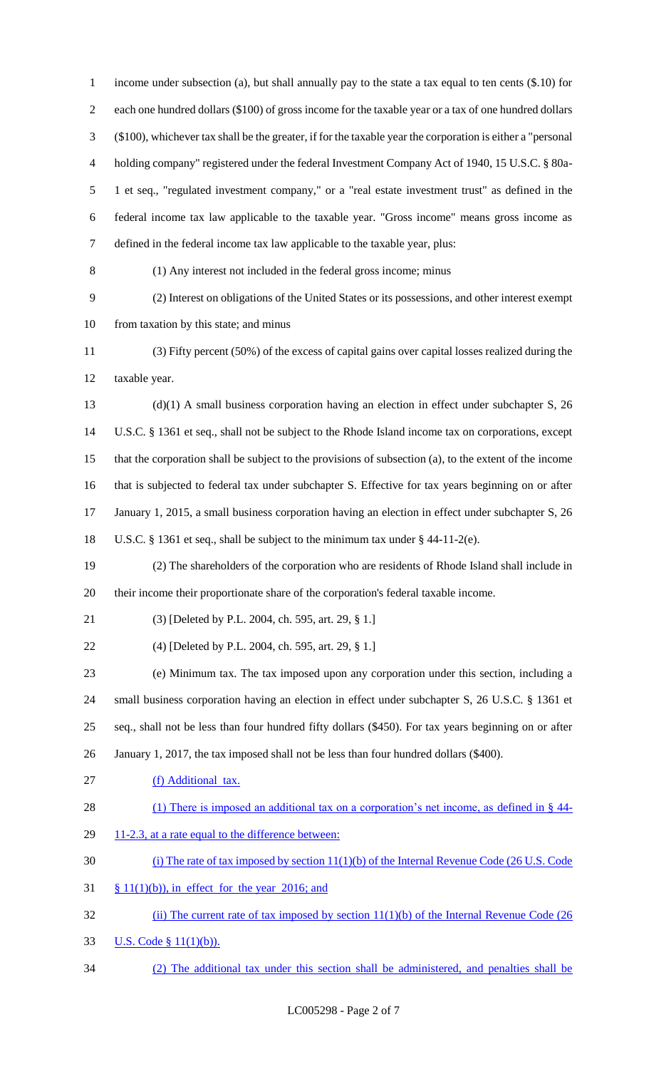income under subsection (a), but shall annually pay to the state a tax equal to ten cents (\$.10) for each one hundred dollars (\$100) of gross income for the taxable year or a tax of one hundred dollars (\$100), whichever tax shall be the greater, if for the taxable year the corporation is either a "personal holding company" registered under the federal Investment Company Act of 1940, 15 U.S.C. § 80a- 1 et seq., "regulated investment company," or a "real estate investment trust" as defined in the federal income tax law applicable to the taxable year. "Gross income" means gross income as defined in the federal income tax law applicable to the taxable year, plus: (1) Any interest not included in the federal gross income; minus (2) Interest on obligations of the United States or its possessions, and other interest exempt from taxation by this state; and minus (3) Fifty percent (50%) of the excess of capital gains over capital losses realized during the taxable year. (d)(1) A small business corporation having an election in effect under subchapter S, 26 U.S.C. § 1361 et seq., shall not be subject to the Rhode Island income tax on corporations, except that the corporation shall be subject to the provisions of subsection (a), to the extent of the income that is subjected to federal tax under subchapter S. Effective for tax years beginning on or after 17 January 1, 2015, a small business corporation having an election in effect under subchapter S, 26 U.S.C. § 1361 et seq., shall be subject to the minimum tax under § 44-11-2(e). (2) The shareholders of the corporation who are residents of Rhode Island shall include in their income their proportionate share of the corporation's federal taxable income. (3) [Deleted by P.L. 2004, ch. 595, art. 29, § 1.] (4) [Deleted by P.L. 2004, ch. 595, art. 29, § 1.] (e) Minimum tax. The tax imposed upon any corporation under this section, including a small business corporation having an election in effect under subchapter S, 26 U.S.C. § 1361 et seq., shall not be less than four hundred fifty dollars (\$450). For tax years beginning on or after January 1, 2017, the tax imposed shall not be less than four hundred dollars (\$400). (f) Additional tax. 28 (1) There is imposed an additional tax on a corporation's net income, as defined in § 44-29 11-2.3, at a rate equal to the difference between: (i) The rate of tax imposed by section 11(1)(b) of the Internal Revenue Code (26 U.S. Code  $31 \frac{\$11(1)(b)}{i}$ , in effect for the year 2016; and 32 (ii) The current rate of tax imposed by section 11(1)(b) of the Internal Revenue Code (26 U.S. Code § 11(1)(b)). (2) The additional tax under this section shall be administered, and penalties shall be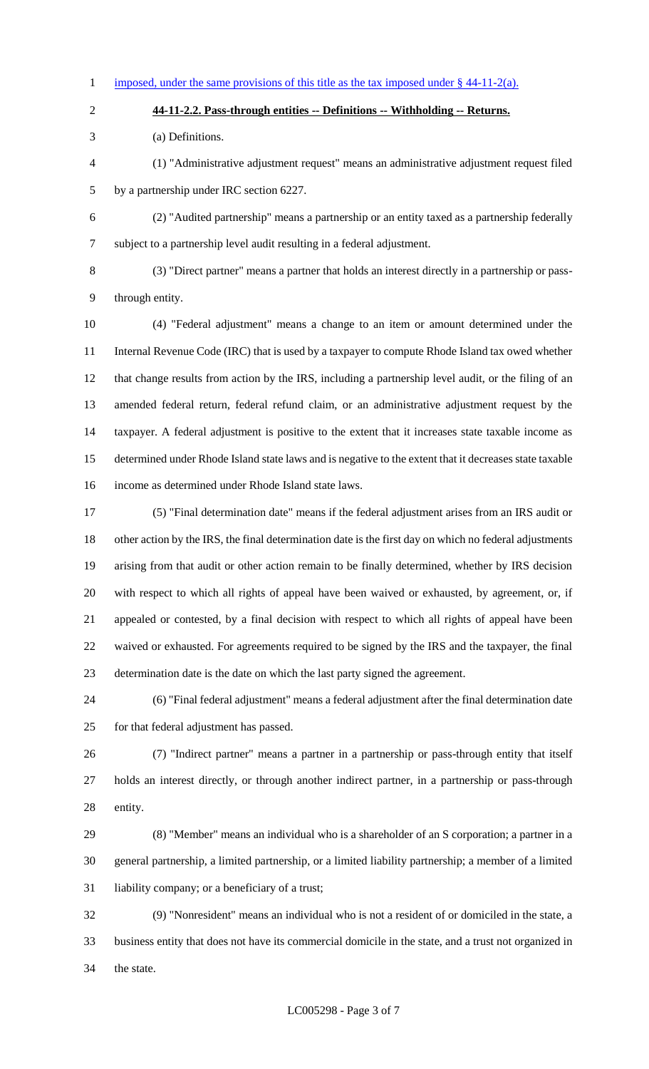1 imposed, under the same provisions of this title as the tax imposed under  $§$  44-11-2(a).

**44-11-2.2. Pass-through entities -- Definitions -- Withholding -- Returns.**

(a) Definitions.

 (1) "Administrative adjustment request" means an administrative adjustment request filed by a partnership under IRC section 6227.

(2) "Audited partnership" means a partnership or an entity taxed as a partnership federally

subject to a partnership level audit resulting in a federal adjustment.

 (3) "Direct partner" means a partner that holds an interest directly in a partnership or pass-through entity.

 (4) "Federal adjustment" means a change to an item or amount determined under the 11 Internal Revenue Code (IRC) that is used by a taxpayer to compute Rhode Island tax owed whether that change results from action by the IRS, including a partnership level audit, or the filing of an amended federal return, federal refund claim, or an administrative adjustment request by the taxpayer. A federal adjustment is positive to the extent that it increases state taxable income as determined under Rhode Island state laws and is negative to the extent that it decreases state taxable income as determined under Rhode Island state laws.

 (5) "Final determination date" means if the federal adjustment arises from an IRS audit or 18 other action by the IRS, the final determination date is the first day on which no federal adjustments arising from that audit or other action remain to be finally determined, whether by IRS decision with respect to which all rights of appeal have been waived or exhausted, by agreement, or, if appealed or contested, by a final decision with respect to which all rights of appeal have been waived or exhausted. For agreements required to be signed by the IRS and the taxpayer, the final determination date is the date on which the last party signed the agreement.

 (6) "Final federal adjustment" means a federal adjustment after the final determination date for that federal adjustment has passed.

 (7) "Indirect partner" means a partner in a partnership or pass-through entity that itself holds an interest directly, or through another indirect partner, in a partnership or pass-through entity.

 (8) "Member" means an individual who is a shareholder of an S corporation; a partner in a general partnership, a limited partnership, or a limited liability partnership; a member of a limited liability company; or a beneficiary of a trust;

 (9) "Nonresident" means an individual who is not a resident of or domiciled in the state, a business entity that does not have its commercial domicile in the state, and a trust not organized in the state.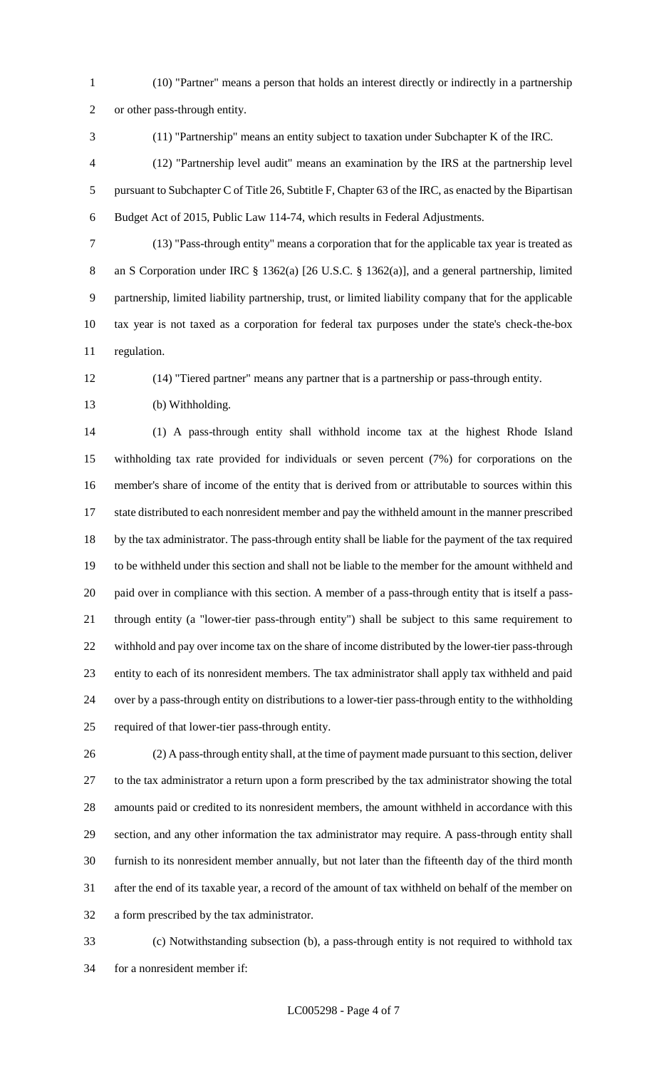- (10) "Partner" means a person that holds an interest directly or indirectly in a partnership or other pass-through entity.
- 

(11) "Partnership" means an entity subject to taxation under Subchapter K of the IRC.

 (12) "Partnership level audit" means an examination by the IRS at the partnership level pursuant to Subchapter C of Title 26, Subtitle F, Chapter 63 of the IRC, as enacted by the Bipartisan Budget Act of 2015, Public Law 114-74, which results in Federal Adjustments.

 (13) "Pass-through entity" means a corporation that for the applicable tax year is treated as 8 an S Corporation under IRC § 1362(a) [26 U.S.C. § 1362(a)], and a general partnership, limited partnership, limited liability partnership, trust, or limited liability company that for the applicable tax year is not taxed as a corporation for federal tax purposes under the state's check-the-box regulation.

(14) "Tiered partner" means any partner that is a partnership or pass-through entity.

(b) Withholding.

 (1) A pass-through entity shall withhold income tax at the highest Rhode Island withholding tax rate provided for individuals or seven percent (7%) for corporations on the member's share of income of the entity that is derived from or attributable to sources within this state distributed to each nonresident member and pay the withheld amount in the manner prescribed by the tax administrator. The pass-through entity shall be liable for the payment of the tax required to be withheld under this section and shall not be liable to the member for the amount withheld and paid over in compliance with this section. A member of a pass-through entity that is itself a pass- through entity (a "lower-tier pass-through entity") shall be subject to this same requirement to withhold and pay over income tax on the share of income distributed by the lower-tier pass-through entity to each of its nonresident members. The tax administrator shall apply tax withheld and paid over by a pass-through entity on distributions to a lower-tier pass-through entity to the withholding required of that lower-tier pass-through entity.

 (2) A pass-through entity shall, at the time of payment made pursuant to this section, deliver to the tax administrator a return upon a form prescribed by the tax administrator showing the total amounts paid or credited to its nonresident members, the amount withheld in accordance with this section, and any other information the tax administrator may require. A pass-through entity shall furnish to its nonresident member annually, but not later than the fifteenth day of the third month after the end of its taxable year, a record of the amount of tax withheld on behalf of the member on a form prescribed by the tax administrator.

 (c) Notwithstanding subsection (b), a pass-through entity is not required to withhold tax for a nonresident member if: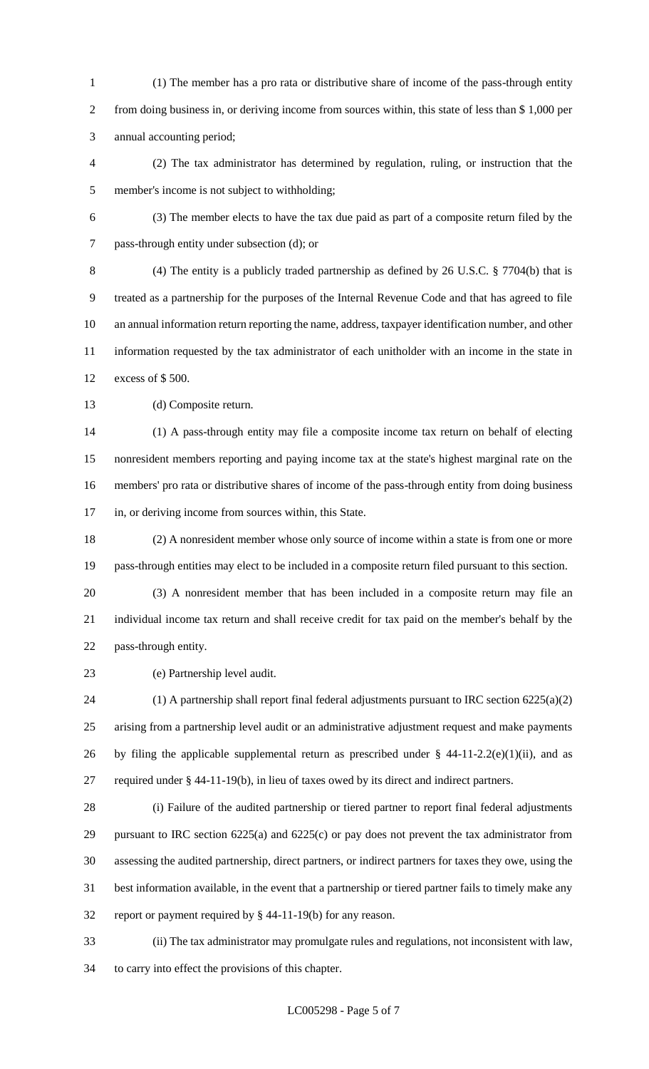(1) The member has a pro rata or distributive share of income of the pass-through entity from doing business in, or deriving income from sources within, this state of less than \$ 1,000 per annual accounting period;

 (2) The tax administrator has determined by regulation, ruling, or instruction that the member's income is not subject to withholding;

 (3) The member elects to have the tax due paid as part of a composite return filed by the pass-through entity under subsection (d); or

 (4) The entity is a publicly traded partnership as defined by 26 U.S.C. § 7704(b) that is treated as a partnership for the purposes of the Internal Revenue Code and that has agreed to file an annual information return reporting the name, address, taxpayer identification number, and other information requested by the tax administrator of each unitholder with an income in the state in excess of \$ 500.

13 (d) Composite return.

 (1) A pass-through entity may file a composite income tax return on behalf of electing nonresident members reporting and paying income tax at the state's highest marginal rate on the members' pro rata or distributive shares of income of the pass-through entity from doing business in, or deriving income from sources within, this State.

 (2) A nonresident member whose only source of income within a state is from one or more pass-through entities may elect to be included in a composite return filed pursuant to this section.

 (3) A nonresident member that has been included in a composite return may file an individual income tax return and shall receive credit for tax paid on the member's behalf by the pass-through entity.

(e) Partnership level audit.

 (1) A partnership shall report final federal adjustments pursuant to IRC section 6225(a)(2) arising from a partnership level audit or an administrative adjustment request and make payments 26 by filing the applicable supplemental return as prescribed under  $\S$  44-11-2.2(e)(1)(ii), and as required under § 44-11-19(b), in lieu of taxes owed by its direct and indirect partners.

 (i) Failure of the audited partnership or tiered partner to report final federal adjustments pursuant to IRC section 6225(a) and 6225(c) or pay does not prevent the tax administrator from assessing the audited partnership, direct partners, or indirect partners for taxes they owe, using the best information available, in the event that a partnership or tiered partner fails to timely make any report or payment required by § 44-11-19(b) for any reason.

 (ii) The tax administrator may promulgate rules and regulations, not inconsistent with law, to carry into effect the provisions of this chapter.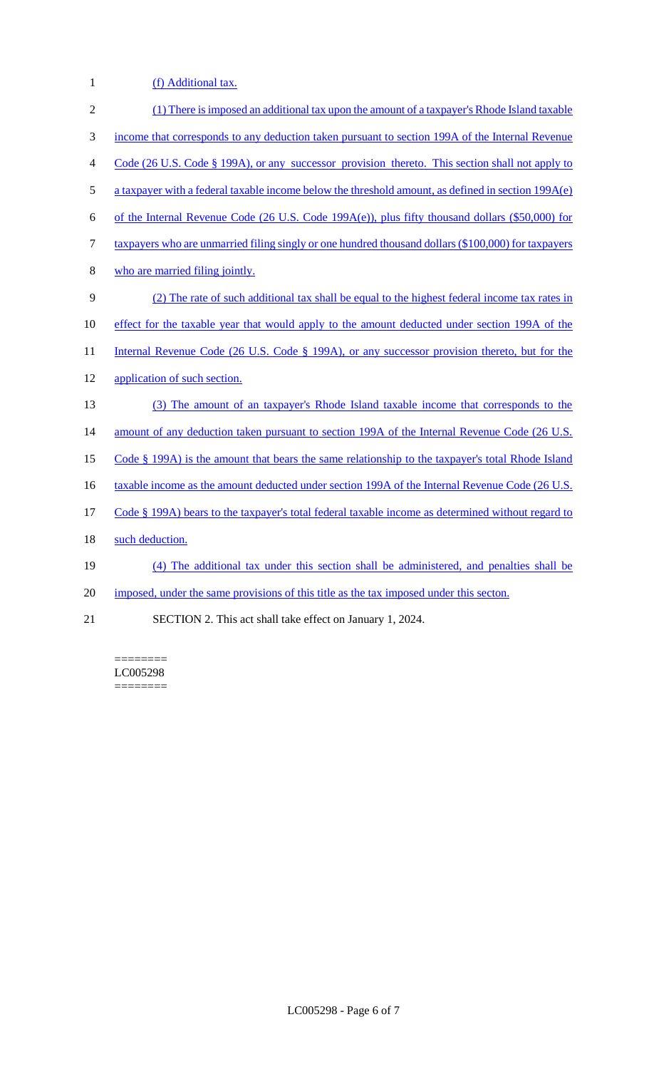1 (f) Additional tax.

| $\overline{2}$ | (1) There is imposed an additional tax upon the amount of a taxpayer's Rhode Island taxable         |
|----------------|-----------------------------------------------------------------------------------------------------|
| 3              | income that corresponds to any deduction taken pursuant to section 199A of the Internal Revenue     |
| $\overline{4}$ | Code (26 U.S. Code § 199A), or any successor provision thereto. This section shall not apply to     |
| 5              | a taxpayer with a federal taxable income below the threshold amount, as defined in section 199A(e)  |
| 6              | of the Internal Revenue Code (26 U.S. Code 199A(e)), plus fifty thousand dollars (\$50,000) for     |
| $\tau$         | taxpayers who are unmarried filing singly or one hundred thousand dollars (\$100,000) for taxpayers |
| 8              | who are married filing jointly.                                                                     |
| 9              | (2) The rate of such additional tax shall be equal to the highest federal income tax rates in       |
| 10             | effect for the taxable year that would apply to the amount deducted under section 199A of the       |
| 11             | Internal Revenue Code (26 U.S. Code § 199A), or any successor provision thereto, but for the        |
| 12             | application of such section.                                                                        |
| 13             | (3) The amount of an taxpayer's Rhode Island taxable income that corresponds to the                 |
| 14             | amount of any deduction taken pursuant to section 199A of the Internal Revenue Code (26 U.S.        |
| 15             | Code $\S$ 199A) is the amount that bears the same relationship to the taxpayer's total Rhode Island |
| 16             | taxable income as the amount deducted under section 199A of the Internal Revenue Code (26 U.S.      |
| 17             | Code § 199A) bears to the taxpayer's total federal taxable income as determined without regard to   |
| 18             | such deduction.                                                                                     |
| 19             | (4) The additional tax under this section shall be administered, and penalties shall be             |
| 20             | imposed, under the same provisions of this title as the tax imposed under this secton.              |
| 21             | SECTION 2. This act shall take effect on January 1, 2024.                                           |

======== LC005298 ========